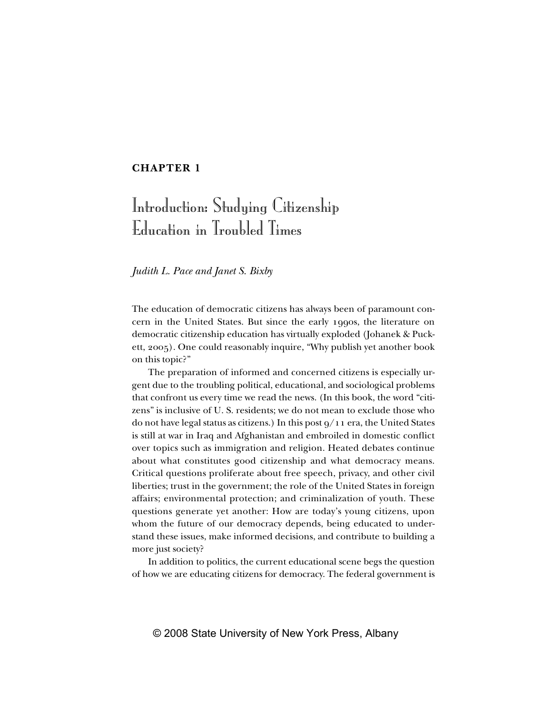### **CHAPTER 1**

# Introduction: Studying Citizenship Education in Troubled Times

*Judith L. Pace and Janet S. Bixby*

The education of democratic citizens has always been of paramount concern in the United States. But since the early 1990s, the literature on democratic citizenship education has virtually exploded (Johanek & Puckett, 2005). One could reasonably inquire, "Why publish yet another book on this topic?"

The preparation of informed and concerned citizens is especially urgent due to the troubling political, educational, and sociological problems that confront us every time we read the news. (In this book, the word "citizens" is inclusive of U. S. residents; we do not mean to exclude those who do not have legal status as citizens.) In this post 9/11 era, the United States is still at war in Iraq and Afghanistan and embroiled in domestic conflict over topics such as immigration and religion. Heated debates continue about what constitutes good citizenship and what democracy means. Critical questions proliferate about free speech, privacy, and other civil liberties; trust in the government; the role of the United States in foreign affairs; environmental protection; and criminalization of youth. These questions generate yet another: How are today's young citizens, upon whom the future of our democracy depends, being educated to understand these issues, make informed decisions, and contribute to building a more just society?

In addition to politics, the current educational scene begs the question of how we are educating citizens for democracy. The federal government is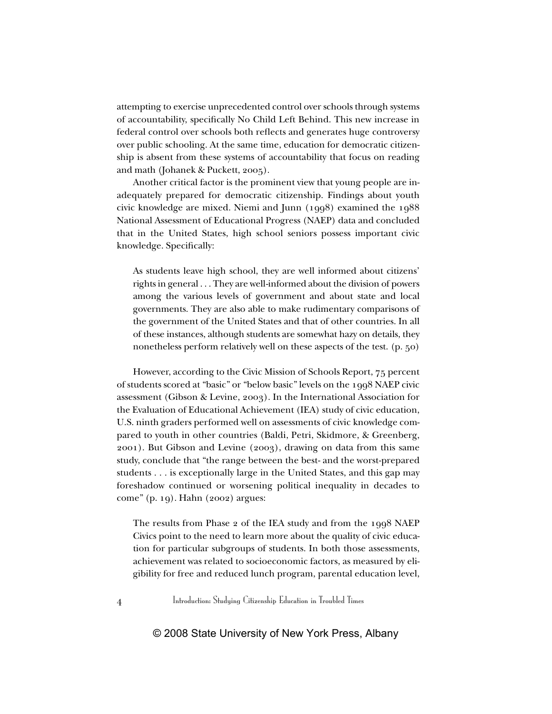attempting to exercise unprecedented control over schools through systems of accountability, specifically No Child Left Behind. This new increase in federal control over schools both reflects and generates huge controversy over public schooling. At the same time, education for democratic citizenship is absent from these systems of accountability that focus on reading and math (Johanek & Puckett, 2005).

Another critical factor is the prominent view that young people are inadequately prepared for democratic citizenship. Findings about youth civic knowledge are mixed. Niemi and Junn (1998) examined the 1988 National Assessment of Educational Progress (NAEP) data and concluded that in the United States, high school seniors possess important civic knowledge. Specifically:

As students leave high school, they are well informed about citizens' rights in general . . . They are well-informed about the division of powers among the various levels of government and about state and local governments. They are also able to make rudimentary comparisons of the government of the United States and that of other countries. In all of these instances, although students are somewhat hazy on details, they nonetheless perform relatively well on these aspects of the test. (p. 50)

However, according to the Civic Mission of Schools Report, 75 percent of students scored at "basic" or "below basic" levels on the 1998 NAEP civic assessment (Gibson & Levine, 2003). In the International Association for the Evaluation of Educational Achievement (IEA) study of civic education, U.S. ninth graders performed well on assessments of civic knowledge compared to youth in other countries (Baldi, Petri, Skidmore, & Greenberg, 2001). But Gibson and Levine (2003), drawing on data from this same study, conclude that "the range between the best- and the worst-prepared students . . . is exceptionally large in the United States, and this gap may foreshadow continued or worsening political inequality in decades to come" (p. 19). Hahn (2002) argues:

The results from Phase 2 of the IEA study and from the 1998 NAEP Civics point to the need to learn more about the quality of civic education for particular subgroups of students. In both those assessments, achievement was related to socioeconomic factors, as measured by eligibility for free and reduced lunch program, parental education level,

4 Introduction: Studying Citizenship Education in Troubled Times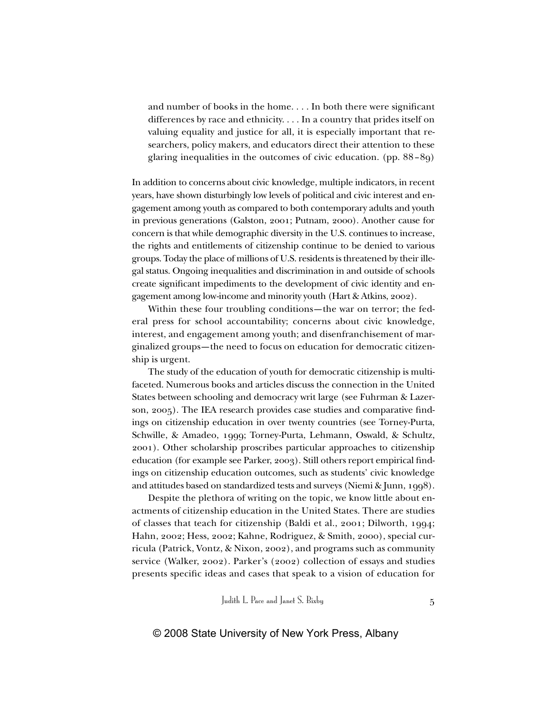and number of books in the home. . . . In both there were significant differences by race and ethnicity. . . . In a country that prides itself on valuing equality and justice for all, it is especially important that researchers, policy makers, and educators direct their attention to these glaring inequalities in the outcomes of civic education. (pp. 88–89)

In addition to concerns about civic knowledge, multiple indicators, in recent years, have shown disturbingly low levels of political and civic interest and engagement among youth as compared to both contemporary adults and youth in previous generations (Galston, 2001; Putnam, 2000). Another cause for concern is that while demographic diversity in the U.S. continues to increase, the rights and entitlements of citizenship continue to be denied to various groups. Today the place of millions of U.S. residents is threatened by their illegal status. Ongoing inequalities and discrimination in and outside of schools create significant impediments to the development of civic identity and engagement among low-income and minority youth (Hart & Atkins, 2002).

Within these four troubling conditions—the war on terror; the federal press for school accountability; concerns about civic knowledge, interest, and engagement among youth; and disenfranchisement of marginalized groups—the need to focus on education for democratic citizenship is urgent.

The study of the education of youth for democratic citizenship is multifaceted. Numerous books and articles discuss the connection in the United States between schooling and democracy writ large (see Fuhrman & Lazerson, 2005). The IEA research provides case studies and comparative findings on citizenship education in over twenty countries (see Torney-Purta, Schwille, & Amadeo, 1999; Torney-Purta, Lehmann, Oswald, & Schultz, 2001). Other scholarship proscribes particular approaches to citizenship education (for example see Parker, 2003). Still others report empirical findings on citizenship education outcomes, such as students' civic knowledge and attitudes based on standardized tests and surveys (Niemi & Junn, 1998).

Despite the plethora of writing on the topic, we know little about enactments of citizenship education in the United States. There are studies of classes that teach for citizenship (Baldi et al., 2001; Dilworth, 1994; Hahn, 2002; Hess, 2002; Kahne, Rodriguez, & Smith, 2000), special curricula (Patrick, Vontz, & Nixon, 2002), and programs such as community service (Walker, 2002). Parker's (2002) collection of essays and studies presents specific ideas and cases that speak to a vision of education for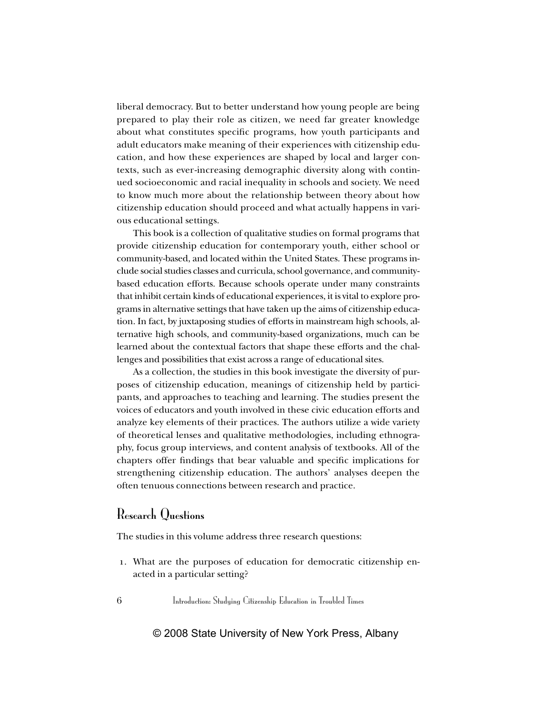liberal democracy. But to better understand how young people are being prepared to play their role as citizen, we need far greater knowledge about what constitutes specific programs, how youth participants and adult educators make meaning of their experiences with citizenship education, and how these experiences are shaped by local and larger contexts, such as ever-increasing demographic diversity along with continued socioeconomic and racial inequality in schools and society. We need to know much more about the relationship between theory about how citizenship education should proceed and what actually happens in various educational settings.

This book is a collection of qualitative studies on formal programs that provide citizenship education for contemporary youth, either school or community-based, and located within the United States. These programs include social studies classes and curricula, school governance, and communitybased education efforts. Because schools operate under many constraints that inhibit certain kinds of educational experiences, it is vital to explore programs in alternative settings that have taken up the aims of citizenship education. In fact, by juxtaposing studies of efforts in mainstream high schools, alternative high schools, and community-based organizations, much can be learned about the contextual factors that shape these efforts and the challenges and possibilities that exist across a range of educational sites.

As a collection, the studies in this book investigate the diversity of purposes of citizenship education, meanings of citizenship held by participants, and approaches to teaching and learning. The studies present the voices of educators and youth involved in these civic education efforts and analyze key elements of their practices. The authors utilize a wide variety of theoretical lenses and qualitative methodologies, including ethnography, focus group interviews, and content analysis of textbooks. All of the chapters offer findings that bear valuable and specific implications for strengthening citizenship education. The authors' analyses deepen the often tenuous connections between research and practice.

# Research Questions

The studies in this volume address three research questions:

1. What are the purposes of education for democratic citizenship enacted in a particular setting?

6 Introduction: Studying Citizenship Education in Troubled Times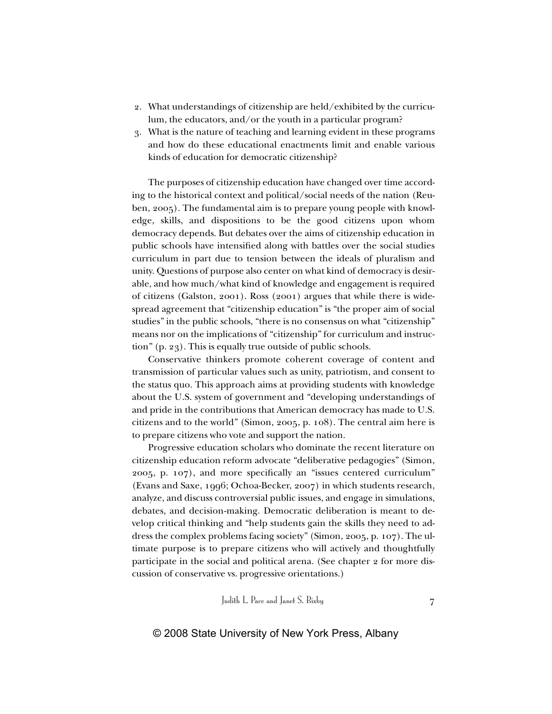- 2. What understandings of citizenship are held/exhibited by the curriculum, the educators, and/or the youth in a particular program?
- 3. What is the nature of teaching and learning evident in these programs and how do these educational enactments limit and enable various kinds of education for democratic citizenship?

The purposes of citizenship education have changed over time according to the historical context and political/social needs of the nation (Reuben, 2005). The fundamental aim is to prepare young people with knowledge, skills, and dispositions to be the good citizens upon whom democracy depends. But debates over the aims of citizenship education in public schools have intensified along with battles over the social studies curriculum in part due to tension between the ideals of pluralism and unity. Questions of purpose also center on what kind of democracy is desirable, and how much/what kind of knowledge and engagement is required of citizens (Galston, 2001). Ross (2001) argues that while there is widespread agreement that "citizenship education" is "the proper aim of social studies" in the public schools, "there is no consensus on what "citizenship" means nor on the implications of "citizenship" for curriculum and instruction" (p. 23). This is equally true outside of public schools.

Conservative thinkers promote coherent coverage of content and transmission of particular values such as unity, patriotism, and consent to the status quo. This approach aims at providing students with knowledge about the U.S. system of government and "developing understandings of and pride in the contributions that American democracy has made to U.S. citizens and to the world" (Simon, 2005, p. 108). The central aim here is to prepare citizens who vote and support the nation.

Progressive education scholars who dominate the recent literature on citizenship education reform advocate "deliberative pedagogies" (Simon, 2005, p. 107), and more specifically an "issues centered curriculum" (Evans and Saxe, 1996; Ochoa-Becker, 2007) in which students research, analyze, and discuss controversial public issues, and engage in simulations, debates, and decision-making. Democratic deliberation is meant to develop critical thinking and "help students gain the skills they need to address the complex problems facing society" (Simon, 2005, p. 107). The ultimate purpose is to prepare citizens who will actively and thoughtfully participate in the social and political arena. (See chapter 2 for more discussion of conservative vs. progressive orientations.)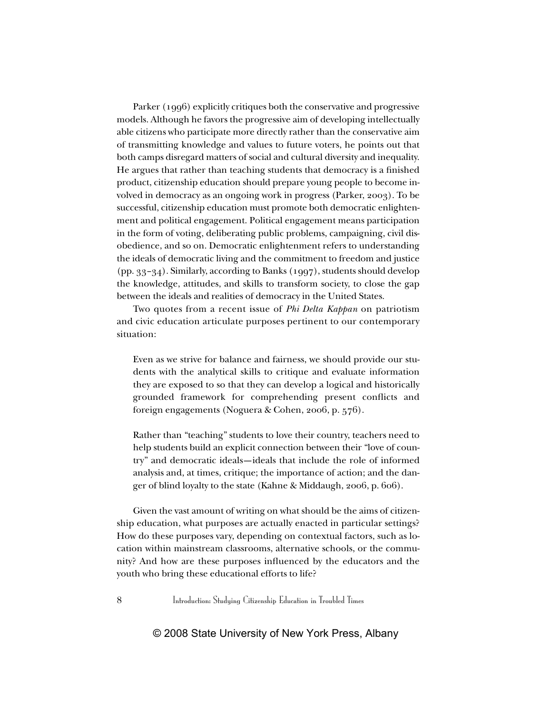Parker (1996) explicitly critiques both the conservative and progressive models. Although he favors the progressive aim of developing intellectually able citizens who participate more directly rather than the conservative aim of transmitting knowledge and values to future voters, he points out that both camps disregard matters of social and cultural diversity and inequality. He argues that rather than teaching students that democracy is a finished product, citizenship education should prepare young people to become involved in democracy as an ongoing work in progress (Parker, 2003). To be successful, citizenship education must promote both democratic enlightenment and political engagement. Political engagement means participation in the form of voting, deliberating public problems, campaigning, civil disobedience, and so on. Democratic enlightenment refers to understanding the ideals of democratic living and the commitment to freedom and justice (pp. 33–34). Similarly, according to Banks (1997), students should develop the knowledge, attitudes, and skills to transform society, to close the gap between the ideals and realities of democracy in the United States.

Two quotes from a recent issue of *Phi Delta Kappan* on patriotism and civic education articulate purposes pertinent to our contemporary situation:

Even as we strive for balance and fairness, we should provide our students with the analytical skills to critique and evaluate information they are exposed to so that they can develop a logical and historically grounded framework for comprehending present conflicts and foreign engagements (Noguera & Cohen, 2006, p. 576).

Rather than "teaching" students to love their country, teachers need to help students build an explicit connection between their "love of country" and democratic ideals—ideals that include the role of informed analysis and, at times, critique; the importance of action; and the danger of blind loyalty to the state (Kahne & Middaugh, 2006, p. 606).

Given the vast amount of writing on what should be the aims of citizenship education, what purposes are actually enacted in particular settings? How do these purposes vary, depending on contextual factors, such as location within mainstream classrooms, alternative schools, or the community? And how are these purposes influenced by the educators and the youth who bring these educational efforts to life?

8 Introduction: Studying Citizenship Education in Troubled Times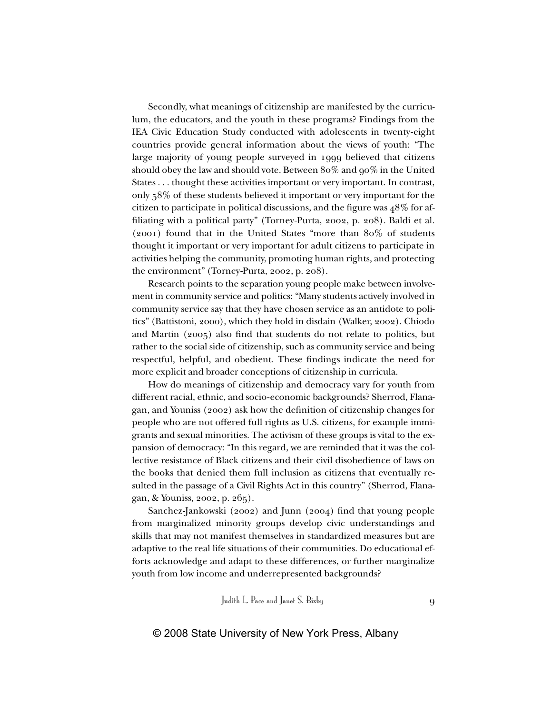Secondly, what meanings of citizenship are manifested by the curriculum, the educators, and the youth in these programs? Findings from the IEA Civic Education Study conducted with adolescents in twenty-eight countries provide general information about the views of youth: "The large majority of young people surveyed in 1999 believed that citizens should obey the law and should vote. Between 80% and 90% in the United States . . . thought these activities important or very important. In contrast, only 58% of these students believed it important or very important for the citizen to participate in political discussions, and the figure was 48% for affiliating with a political party" (Torney-Purta, 2002, p. 208). Baldi et al. (2001) found that in the United States "more than 80% of students thought it important or very important for adult citizens to participate in activities helping the community, promoting human rights, and protecting the environment" (Torney-Purta, 2002, p. 208).

Research points to the separation young people make between involvement in community service and politics: "Many students actively involved in community service say that they have chosen service as an antidote to politics" (Battistoni, 2000), which they hold in disdain (Walker, 2002). Chiodo and Martin (2005) also find that students do not relate to politics, but rather to the social side of citizenship, such as community service and being respectful, helpful, and obedient. These findings indicate the need for more explicit and broader conceptions of citizenship in curricula.

How do meanings of citizenship and democracy vary for youth from different racial, ethnic, and socio-economic backgrounds? Sherrod, Flanagan, and Youniss (2002) ask how the definition of citizenship changes for people who are not offered full rights as U.S. citizens, for example immigrants and sexual minorities. The activism of these groups is vital to the expansion of democracy: "In this regard, we are reminded that it was the collective resistance of Black citizens and their civil disobedience of laws on the books that denied them full inclusion as citizens that eventually resulted in the passage of a Civil Rights Act in this country" (Sherrod, Flanagan, & Youniss, 2002, p. 265).

Sanchez-Jankowski (2002) and Junn (2004) find that young people from marginalized minority groups develop civic understandings and skills that may not manifest themselves in standardized measures but are adaptive to the real life situations of their communities. Do educational efforts acknowledge and adapt to these differences, or further marginalize youth from low income and underrepresented backgrounds?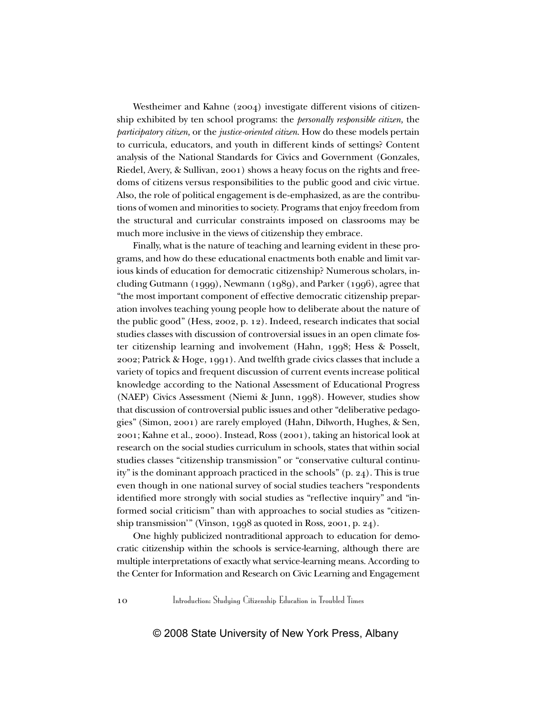Westheimer and Kahne (2004) investigate different visions of citizenship exhibited by ten school programs: the *personally responsible citizen,* the *participatory citizen,* or the *justice-oriented citizen*. How do these models pertain to curricula, educators, and youth in different kinds of settings? Content analysis of the National Standards for Civics and Government (Gonzales, Riedel, Avery, & Sullivan, 2001) shows a heavy focus on the rights and freedoms of citizens versus responsibilities to the public good and civic virtue. Also, the role of political engagement is de-emphasized, as are the contributions of women and minorities to society. Programs that enjoy freedom from the structural and curricular constraints imposed on classrooms may be much more inclusive in the views of citizenship they embrace.

Finally, what is the nature of teaching and learning evident in these programs, and how do these educational enactments both enable and limit various kinds of education for democratic citizenship? Numerous scholars, including Gutmann (1999), Newmann (1989), and Parker (1996), agree that "the most important component of effective democratic citizenship preparation involves teaching young people how to deliberate about the nature of the public good" (Hess, 2002, p. 12). Indeed, research indicates that social studies classes with discussion of controversial issues in an open climate foster citizenship learning and involvement (Hahn, 1998; Hess & Posselt, 2002; Patrick & Hoge, 1991). And twelfth grade civics classes that include a variety of topics and frequent discussion of current events increase political knowledge according to the National Assessment of Educational Progress (NAEP) Civics Assessment (Niemi & Junn, 1998). However, studies show that discussion of controversial public issues and other "deliberative pedagogies" (Simon, 2001) are rarely employed (Hahn, Dilworth, Hughes, & Sen, 2001; Kahne et al., 2000). Instead, Ross (2001), taking an historical look at research on the social studies curriculum in schools, states that within social studies classes "citizenship transmission" or "conservative cultural continuity" is the dominant approach practiced in the schools" (p. 24). This is true even though in one national survey of social studies teachers "respondents identified more strongly with social studies as "reflective inquiry" and "informed social criticism" than with approaches to social studies as "citizenship transmission'" (Vinson, 1998 as quoted in Ross, 2001, p. 24).

One highly publicized nontraditional approach to education for democratic citizenship within the schools is service-learning, although there are multiple interpretations of exactly what service-learning means. According to the Center for Information and Research on Civic Learning and Engagement

10 Introduction: Studying Citizenship Education in Troubled Times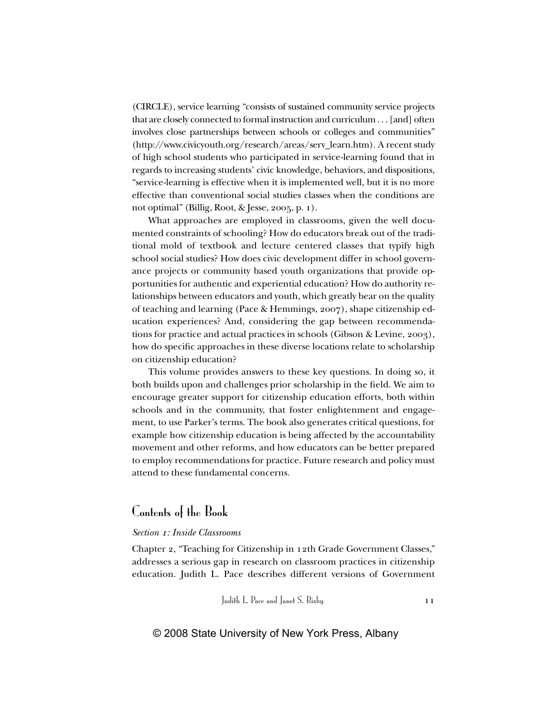(CIRCLE), service learning "consists of sustained community service projects that are closely connected to formal instruction and curriculum . . . [and] often involves close partnerships between schools or colleges and communities" (http://www.civicyouth.org/research/areas/serv\_learn.htm). A recent study of high school students who participated in service-learning found that in regards to increasing students' civic knowledge, behaviors, and dispositions, "service-learning is effective when it is implemented well, but it is no more effective than conventional social studies classes when the conditions are not optimal" (Billig, Root, & Jesse, 2005, p. 1).

What approaches are employed in classrooms, given the well documented constraints of schooling? How do educators break out of the traditional mold of textbook and lecture centered classes that typify high school social studies? How does civic development differ in school governance projects or community based youth organizations that provide opportunities for authentic and experiential education? How do authority relationships between educators and youth, which greatly bear on the quality of teaching and learning (Pace & Hemmings, 2007), shape citizenship education experiences? And, considering the gap between recommendations for practice and actual practices in schools (Gibson & Levine, 2003), how do specific approaches in these diverse locations relate to scholarship on citizenship education?

This volume provides answers to these key questions. In doing so, it both builds upon and challenges prior scholarship in the field. We aim to encourage greater support for citizenship education efforts, both within schools and in the community, that foster enlightenment and engagement, to use Parker's terms. The book also generates critical questions, for example how citizenship education is being affected by the accountability movement and other reforms, and how educators can be better prepared to employ recommendations for practice. Future research and policy must attend to these fundamental concerns.

# Contents of the Book

#### *Section 1: Inside Classrooms*

Chapter 2, "Teaching for Citizenship in 12th Grade Government Classes," addresses a serious gap in research on classroom practices in citizenship education. Judith L. Pace describes different versions of Government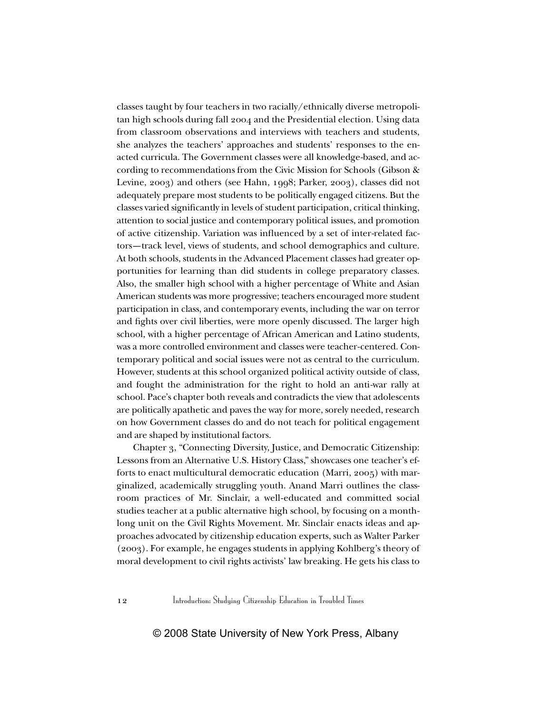classes taught by four teachers in two racially/ethnically diverse metropolitan high schools during fall 2004 and the Presidential election. Using data from classroom observations and interviews with teachers and students, she analyzes the teachers' approaches and students' responses to the enacted curricula. The Government classes were all knowledge-based, and according to recommendations from the Civic Mission for Schools (Gibson & Levine, 2003) and others (see Hahn, 1998; Parker, 2003), classes did not adequately prepare most students to be politically engaged citizens. But the classes varied significantly in levels of student participation, critical thinking, attention to social justice and contemporary political issues, and promotion of active citizenship. Variation was influenced by a set of inter-related factors—track level, views of students, and school demographics and culture. At both schools, students in the Advanced Placement classes had greater opportunities for learning than did students in college preparatory classes. Also, the smaller high school with a higher percentage of White and Asian American students was more progressive; teachers encouraged more student participation in class, and contemporary events, including the war on terror and fights over civil liberties, were more openly discussed. The larger high school, with a higher percentage of African American and Latino students, was a more controlled environment and classes were teacher-centered. Contemporary political and social issues were not as central to the curriculum. However, students at this school organized political activity outside of class, and fought the administration for the right to hold an anti-war rally at school. Pace's chapter both reveals and contradicts the view that adolescents are politically apathetic and paves the way for more, sorely needed, research on how Government classes do and do not teach for political engagement and are shaped by institutional factors.

Chapter 3, "Connecting Diversity, Justice, and Democratic Citizenship: Lessons from an Alternative U.S. History Class," showcases one teacher's efforts to enact multicultural democratic education (Marri, 2005) with marginalized, academically struggling youth. Anand Marri outlines the classroom practices of Mr. Sinclair, a well-educated and committed social studies teacher at a public alternative high school, by focusing on a monthlong unit on the Civil Rights Movement. Mr. Sinclair enacts ideas and approaches advocated by citizenship education experts, such as Walter Parker (2003). For example, he engages students in applying Kohlberg's theory of moral development to civil rights activists' law breaking. He gets his class to

12 Introduction: Studying Citizenship Education in Troubled Times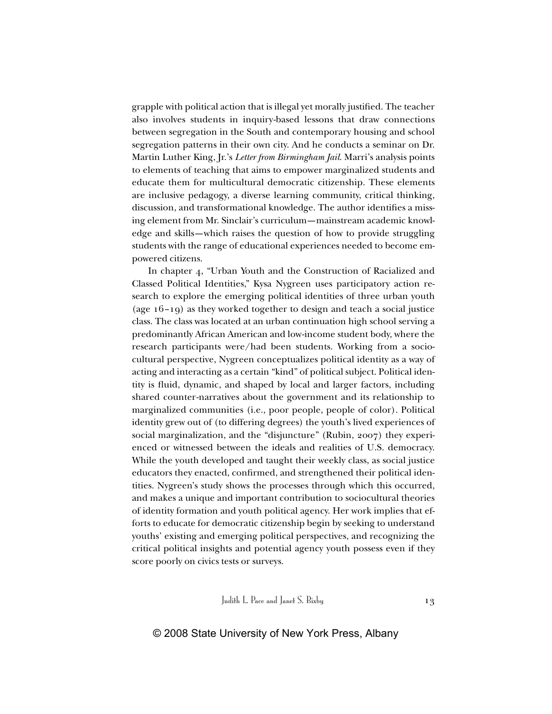grapple with political action that is illegal yet morally justified. The teacher also involves students in inquiry-based lessons that draw connections between segregation in the South and contemporary housing and school segregation patterns in their own city. And he conducts a seminar on Dr. Martin Luther King, Jr.'s *Letter from Birmingham Jail*. Marri's analysis points to elements of teaching that aims to empower marginalized students and educate them for multicultural democratic citizenship. These elements are inclusive pedagogy, a diverse learning community, critical thinking, discussion, and transformational knowledge. The author identifies a missing element from Mr. Sinclair's curriculum—mainstream academic knowledge and skills—which raises the question of how to provide struggling students with the range of educational experiences needed to become empowered citizens.

In chapter 4, "Urban Youth and the Construction of Racialized and Classed Political Identities," Kysa Nygreen uses participatory action research to explore the emerging political identities of three urban youth (age 16–19) as they worked together to design and teach a social justice class. The class was located at an urban continuation high school serving a predominantly African American and low-income student body, where the research participants were/had been students. Working from a sociocultural perspective, Nygreen conceptualizes political identity as a way of acting and interacting as a certain "kind" of political subject. Political identity is fluid, dynamic, and shaped by local and larger factors, including shared counter-narratives about the government and its relationship to marginalized communities (i.e., poor people, people of color). Political identity grew out of (to differing degrees) the youth's lived experiences of social marginalization, and the "disjuncture" (Rubin, 2007) they experienced or witnessed between the ideals and realities of U.S. democracy. While the youth developed and taught their weekly class, as social justice educators they enacted, confirmed, and strengthened their political identities. Nygreen's study shows the processes through which this occurred, and makes a unique and important contribution to sociocultural theories of identity formation and youth political agency. Her work implies that efforts to educate for democratic citizenship begin by seeking to understand youths' existing and emerging political perspectives, and recognizing the critical political insights and potential agency youth possess even if they score poorly on civics tests or surveys.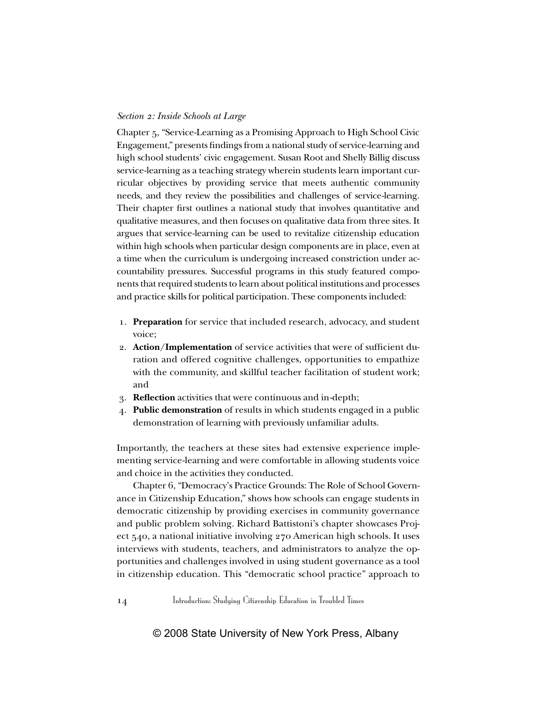#### *Section 2: Inside Schools at Large*

Chapter 5, "Service-Learning as a Promising Approach to High School Civic Engagement," presents findings from a national study of service-learning and high school students' civic engagement. Susan Root and Shelly Billig discuss service-learning as a teaching strategy wherein students learn important curricular objectives by providing service that meets authentic community needs, and they review the possibilities and challenges of service-learning. Their chapter first outlines a national study that involves quantitative and qualitative measures, and then focuses on qualitative data from three sites. It argues that service-learning can be used to revitalize citizenship education within high schools when particular design components are in place, even at a time when the curriculum is undergoing increased constriction under accountability pressures. Successful programs in this study featured components that required students to learn about political institutions and processes and practice skills for political participation. These components included:

- 1. **Preparation** for service that included research, advocacy, and student voice;
- 2. **Action/Implementation** of service activities that were of sufficient duration and offered cognitive challenges, opportunities to empathize with the community, and skillful teacher facilitation of student work; and
- 3. **Reflection** activities that were continuous and in-depth;
- 4. **Public demonstration** of results in which students engaged in a public demonstration of learning with previously unfamiliar adults.

Importantly, the teachers at these sites had extensive experience implementing service-learning and were comfortable in allowing students voice and choice in the activities they conducted.

Chapter 6, "Democracy's Practice Grounds: The Role of School Governance in Citizenship Education," shows how schools can engage students in democratic citizenship by providing exercises in community governance and public problem solving. Richard Battistoni's chapter showcases Project 540, a national initiative involving 270 American high schools. It uses interviews with students, teachers, and administrators to analyze the opportunities and challenges involved in using student governance as a tool in citizenship education. This "democratic school practice" approach to

14 Introduction: Studying Citizenship Education in Troubled Times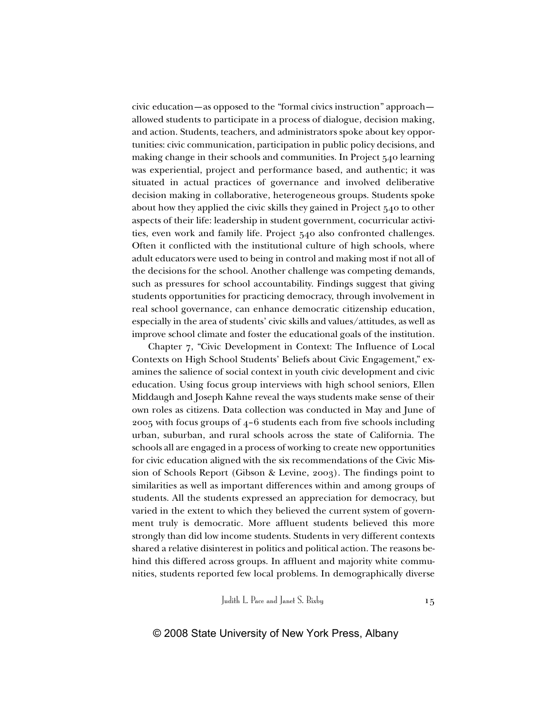civic education—as opposed to the "formal civics instruction" approach allowed students to participate in a process of dialogue, decision making, and action. Students, teachers, and administrators spoke about key opportunities: civic communication, participation in public policy decisions, and making change in their schools and communities. In Project 540 learning was experiential, project and performance based, and authentic; it was situated in actual practices of governance and involved deliberative decision making in collaborative, heterogeneous groups. Students spoke about how they applied the civic skills they gained in Project 540 to other aspects of their life: leadership in student government, cocurricular activities, even work and family life. Project 540 also confronted challenges. Often it conflicted with the institutional culture of high schools, where adult educators were used to being in control and making most if not all of the decisions for the school. Another challenge was competing demands, such as pressures for school accountability. Findings suggest that giving students opportunities for practicing democracy, through involvement in real school governance, can enhance democratic citizenship education, especially in the area of students' civic skills and values/attitudes, as well as improve school climate and foster the educational goals of the institution.

Chapter 7, "Civic Development in Context: The Influence of Local Contexts on High School Students' Beliefs about Civic Engagement," examines the salience of social context in youth civic development and civic education. Using focus group interviews with high school seniors, Ellen Middaugh and Joseph Kahne reveal the ways students make sense of their own roles as citizens. Data collection was conducted in May and June of 2005 with focus groups of 4–6 students each from five schools including urban, suburban, and rural schools across the state of California. The schools all are engaged in a process of working to create new opportunities for civic education aligned with the six recommendations of the Civic Mission of Schools Report (Gibson & Levine, 2003). The findings point to similarities as well as important differences within and among groups of students. All the students expressed an appreciation for democracy, but varied in the extent to which they believed the current system of government truly is democratic. More affluent students believed this more strongly than did low income students. Students in very different contexts shared a relative disinterest in politics and political action. The reasons behind this differed across groups. In affluent and majority white communities, students reported few local problems. In demographically diverse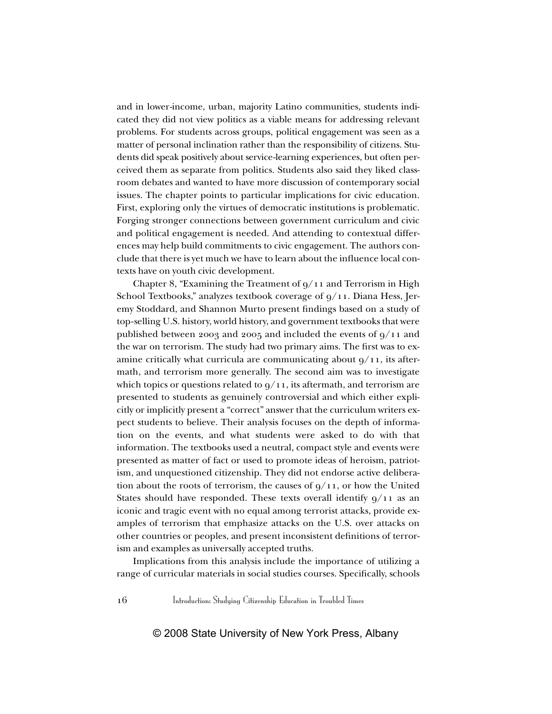and in lower-income, urban, majority Latino communities, students indicated they did not view politics as a viable means for addressing relevant problems. For students across groups, political engagement was seen as a matter of personal inclination rather than the responsibility of citizens. Students did speak positively about service-learning experiences, but often perceived them as separate from politics. Students also said they liked classroom debates and wanted to have more discussion of contemporary social issues. The chapter points to particular implications for civic education. First, exploring only the virtues of democratic institutions is problematic. Forging stronger connections between government curriculum and civic and political engagement is needed. And attending to contextual differences may help build commitments to civic engagement. The authors conclude that there is yet much we have to learn about the influence local contexts have on youth civic development.

Chapter 8, "Examining the Treatment of  $q/11$  and Terrorism in High School Textbooks," analyzes textbook coverage of 9/11. Diana Hess, Jeremy Stoddard, and Shannon Murto present findings based on a study of top-selling U.S. history, world history, and government textbooks that were published between 2003 and 2005 and included the events of 9/11 and the war on terrorism. The study had two primary aims. The first was to examine critically what curricula are communicating about  $9/11$ , its aftermath, and terrorism more generally. The second aim was to investigate which topics or questions related to  $9/11$ , its aftermath, and terrorism are presented to students as genuinely controversial and which either explicitly or implicitly present a "correct" answer that the curriculum writers expect students to believe. Their analysis focuses on the depth of information on the events, and what students were asked to do with that information. The textbooks used a neutral, compact style and events were presented as matter of fact or used to promote ideas of heroism, patriotism, and unquestioned citizenship. They did not endorse active deliberation about the roots of terrorism, the causes of  $q/11$ , or how the United States should have responded. These texts overall identify  $9/11$  as an iconic and tragic event with no equal among terrorist attacks, provide examples of terrorism that emphasize attacks on the U.S. over attacks on other countries or peoples, and present inconsistent definitions of terrorism and examples as universally accepted truths.

Implications from this analysis include the importance of utilizing a range of curricular materials in social studies courses. Specifically, schools

16 Introduction: Studying Citizenship Education in Troubled Times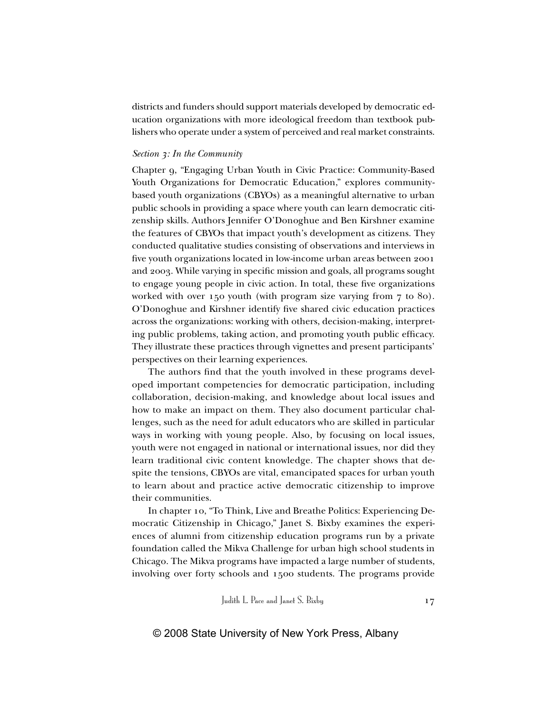districts and funders should support materials developed by democratic education organizations with more ideological freedom than textbook publishers who operate under a system of perceived and real market constraints.

#### *Section 3: In the Community*

Chapter 9, "Engaging Urban Youth in Civic Practice: Community-Based Youth Organizations for Democratic Education," explores communitybased youth organizations (CBYOs) as a meaningful alternative to urban public schools in providing a space where youth can learn democratic citizenship skills. Authors Jennifer O'Donoghue and Ben Kirshner examine the features of CBYOs that impact youth's development as citizens. They conducted qualitative studies consisting of observations and interviews in five youth organizations located in low-income urban areas between 2001 and 2003. While varying in specific mission and goals, all programs sought to engage young people in civic action. In total, these five organizations worked with over 150 youth (with program size varying from 7 to 80). O'Donoghue and Kirshner identify five shared civic education practices across the organizations: working with others, decision-making, interpreting public problems, taking action, and promoting youth public efficacy. They illustrate these practices through vignettes and present participants' perspectives on their learning experiences.

The authors find that the youth involved in these programs developed important competencies for democratic participation, including collaboration, decision-making, and knowledge about local issues and how to make an impact on them. They also document particular challenges, such as the need for adult educators who are skilled in particular ways in working with young people. Also, by focusing on local issues, youth were not engaged in national or international issues, nor did they learn traditional civic content knowledge. The chapter shows that despite the tensions, CBYOs are vital, emancipated spaces for urban youth to learn about and practice active democratic citizenship to improve their communities.

In chapter 10, "To Think, Live and Breathe Politics: Experiencing Democratic Citizenship in Chicago," Janet S. Bixby examines the experiences of alumni from citizenship education programs run by a private foundation called the Mikva Challenge for urban high school students in Chicago. The Mikva programs have impacted a large number of students, involving over forty schools and 1500 students. The programs provide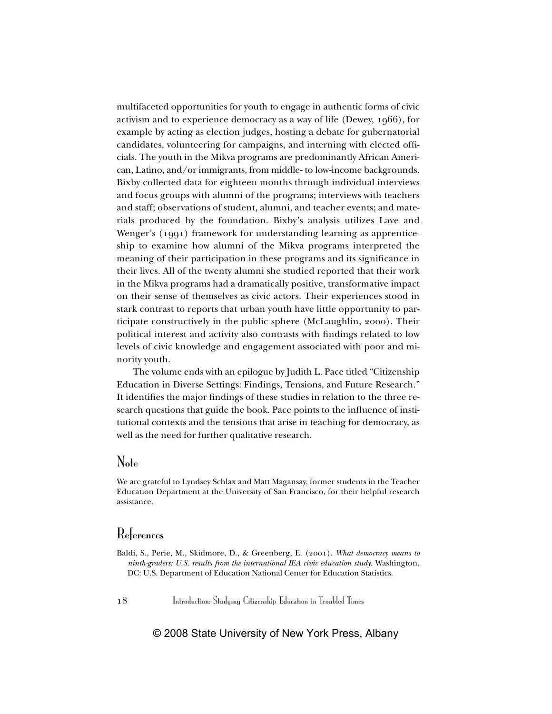multifaceted opportunities for youth to engage in authentic forms of civic activism and to experience democracy as a way of life (Dewey, 1966), for example by acting as election judges, hosting a debate for gubernatorial candidates, volunteering for campaigns, and interning with elected officials. The youth in the Mikva programs are predominantly African American, Latino, and/or immigrants, from middle- to low-income backgrounds. Bixby collected data for eighteen months through individual interviews and focus groups with alumni of the programs; interviews with teachers and staff; observations of student, alumni, and teacher events; and materials produced by the foundation. Bixby's analysis utilizes Lave and Wenger's (1991) framework for understanding learning as apprenticeship to examine how alumni of the Mikva programs interpreted the meaning of their participation in these programs and its significance in their lives. All of the twenty alumni she studied reported that their work in the Mikva programs had a dramatically positive, transformative impact on their sense of themselves as civic actors. Their experiences stood in stark contrast to reports that urban youth have little opportunity to participate constructively in the public sphere (McLaughlin, 2000). Their political interest and activity also contrasts with findings related to low levels of civic knowledge and engagement associated with poor and minority youth.

The volume ends with an epilogue by Judith L. Pace titled "Citizenship Education in Diverse Settings: Findings, Tensions, and Future Research." It identifies the major findings of these studies in relation to the three research questions that guide the book. Pace points to the influence of institutional contexts and the tensions that arise in teaching for democracy, as well as the need for further qualitative research.

# Note

We are grateful to Lyndsey Schlax and Matt Magansay, former students in the Teacher Education Department at the University of San Francisco, for their helpful research assistance.

# References

Baldi, S., Perie, M., Skidmore, D., & Greenberg, E. (2001). *What democracy means to ninth-graders: U.S. results from the international IEA civic education study.* Washington, DC: U.S. Department of Education National Center for Education Statistics.

18 Introduction: Studying Citizenship Education in Troubled Times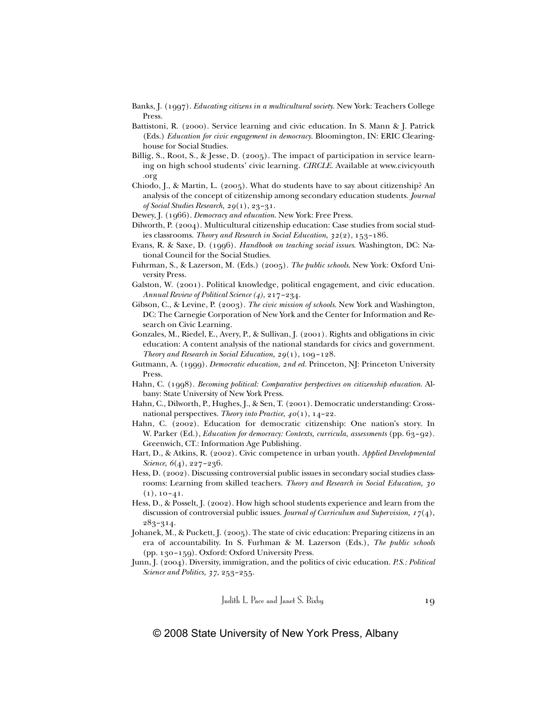- Banks, J. (1997). *Educating citizens in a multicultural society*. New York: Teachers College Press.
- Battistoni, R. (2000). Service learning and civic education. In S. Mann & J. Patrick (Eds.) *Education for civic engagement in democracy*. Bloomington, IN: ERIC Clearinghouse for Social Studies.
- Billig, S., Root, S., & Jesse, D. (2005). The impact of participation in service learning on high school students' civic learning. *CIRCLE*. Available at www.civicyouth .org
- Chiodo, J., & Martin, L. (2005). What do students have to say about citizenship? An analysis of the concept of citizenship among secondary education students. *Journal of Social Studies Research, 29*(1), 23–31.
- Dewey, J. (1966). *Democracy and education*. New York: Free Press.
- Dilworth, P. (2004). Multicultural citizenship education: Case studies from social studies classrooms. *Theory and Research in Social Education, 32*(2), 153–186.
- Evans, R. & Saxe, D. (1996). *Handbook on teaching social issues*. Washington, DC: National Council for the Social Studies.
- Fuhrman, S., & Lazerson, M. (Eds.) (2005). *The public schools*. New York: Oxford University Press.
- Galston, W. (2001). Political knowledge, political engagement, and civic education. *Annual Review of Political Science (4),* 217–234.
- Gibson, C., & Levine, P. (2003). *The civic mission of schools*. New York and Washington, DC: The Carnegie Corporation of New York and the Center for Information and Research on Civic Learning.
- Gonzales, M., Riedel, E., Avery, P., & Sullivan, J. (2001). Rights and obligations in civic education: A content analysis of the national standards for civics and government. *Theory and Research in Social Education, 29*(1), 109–128.
- Gutmann, A. (1999). *Democratic education, 2nd ed.* Princeton, NJ: Princeton University Press.
- Hahn, C. (1998). *Becoming political: Comparative perspectives on citizenship education*. Albany: State University of New York Press.
- Hahn, C., Dilworth, P., Hughes, J., & Sen, T. (2001). Democratic understanding: Crossnational perspectives. *Theory into Practice, 40*(1), 14–22.
- Hahn, C. (2002). Education for democratic citizenship: One nation's story. In W. Parker (Ed.), *Education for democracy: Contexts, curricula, assessments* (pp. 63–92). Greenwich, CT.: Information Age Publishing.
- Hart, D., & Atkins, R. (2002). Civic competence in urban youth. *Applied Developmental Science, 6*(4), 227–236.
- Hess, D. (2002). Discussing controversial public issues in secondary social studies classrooms: Learning from skilled teachers. *Theory and Research in Social Education, 30*  $(1), 10-41.$
- Hess, D., & Posselt, J. (2002). How high school students experience and learn from the discussion of controversial public issues. *Journal of Curriculum and Supervision, 17*(4), 283–314.
- Johanek, M., & Puckett, J. (2005). The state of civic education: Preparing citizens in an era of accountability. In S. Furhman & M. Lazerson (Eds.), *The public schools* (pp. 130–159). Oxford: Oxford University Press.
- Junn, J. (2004). Diversity, immigration, and the politics of civic education. *P.S.: Political Science and Politics, 37,* 253–255.

Judith L. Pace and Janet S. Bixby 19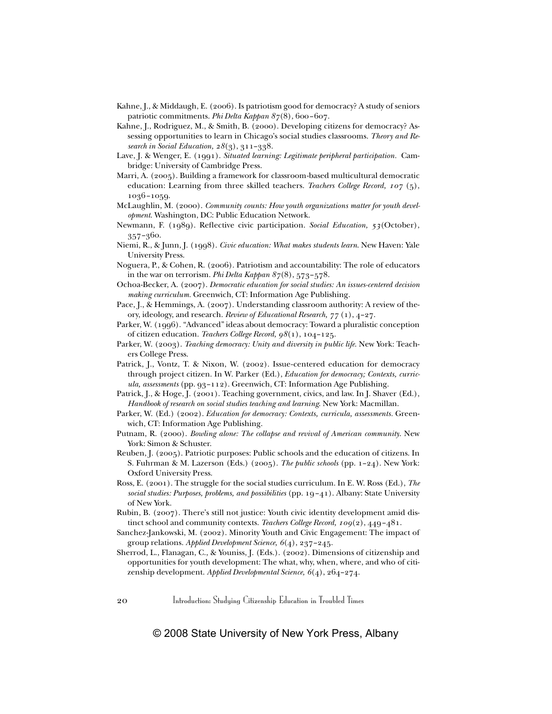- Kahne, J., & Middaugh, E. (2006). Is patriotism good for democracy? A study of seniors patriotic commitments. *Phi Delta Kappan 87*(8), 600–607.
- Kahne, J., Rodriguez, M., & Smith, B. (2000). Developing citizens for democracy? Assessing opportunities to learn in Chicago's social studies classrooms. *Theory and Research in Social Education, 28*(3), 311–338.
- Lave, J. & Wenger, E. (1991). *Situated learning: Legitimate peripheral participation.* Cambridge: University of Cambridge Press.
- Marri, A. (2005). Building a framework for classroom-based multicultural democratic education: Learning from three skilled teachers. *Teachers College Record, 107* (5), 1036–1059.
- McLaughlin, M. (2000). *Community counts: How youth organizations matter for youth development*. Washington, DC: Public Education Network.
- Newmann, F. (1989). Reflective civic participation. *Social Education, 53*(October), 357–360.
- Niemi, R., & Junn, J. (1998). *Civic education: What makes students learn*. New Haven: Yale University Press.
- Noguera, P., & Cohen, R. (2006). Patriotism and accountability: The role of educators in the war on terrorism. *Phi Delta Kappan 87*(8), 573–578.
- Ochoa-Becker, A. (2007). *Democratic education for social studies: An issues-centered decision making curriculum.* Greenwich, CT: Information Age Publishing.
- Pace, J., & Hemmings, A. (2007). Understanding classroom authority: A review of theory, ideology, and research. *Review of Educational Research, 77* (1), 4–27.
- Parker, W. (1996). "Advanced" ideas about democracy: Toward a pluralistic conception of citizen education. *Teachers College Record, 98*(1), 104–125.
- Parker, W. (2003). *Teaching democracy: Unity and diversity in public life*. New York: Teachers College Press.
- Patrick, J., Vontz, T. & Nixon, W. (2002). Issue-centered education for democracy through project citizen. In W. Parker (Ed.), *Education for democracy; Contexts, curricula, assessments* (pp. 93–112). Greenwich, CT: Information Age Publishing.
- Patrick, J., & Hoge, J. (2001). Teaching government, civics, and law. In J. Shaver (Ed.), *Handbook of research on social studies teaching and learning*. New York: Macmillan.
- Parker, W. (Ed.) (2002). *Education for democracy: Contexts, curricula, assessments.* Greenwich, CT: Information Age Publishing.
- Putnam, R. (2000). *Bowling alone: The collapse and revival of American community*. New York: Simon & Schuster.
- Reuben, J. (2005). Patriotic purposes: Public schools and the education of citizens. In S. Fuhrman & M. Lazerson (Eds.) (2005). *The public schools* (pp. 1–24). New York: Oxford University Press.
- Ross, E. (2001). The struggle for the social studies curriculum. In E. W. Ross (Ed.), *The social studies: Purposes, problems, and possibilities* (pp. 19–41). Albany: State University of New York.
- Rubin, B. (2007). There's still not justice: Youth civic identity development amid distinct school and community contexts. *Teachers College Record, 109*(2), 449–481.
- Sanchez-Jankowski, M. (2002). Minority Youth and Civic Engagement: The impact of group relations. *Applied Development Science, 6*(4), 237–245.
- Sherrod, L., Flanagan, C., & Youniss, J. (Eds.). (2002). Dimensions of citizenship and opportunities for youth development: The what, why, when, where, and who of citizenship development. *Applied Developmental Science, 6*(4), 264–274.

20 Introduction: Studying Citizenship Education in Troubled Times